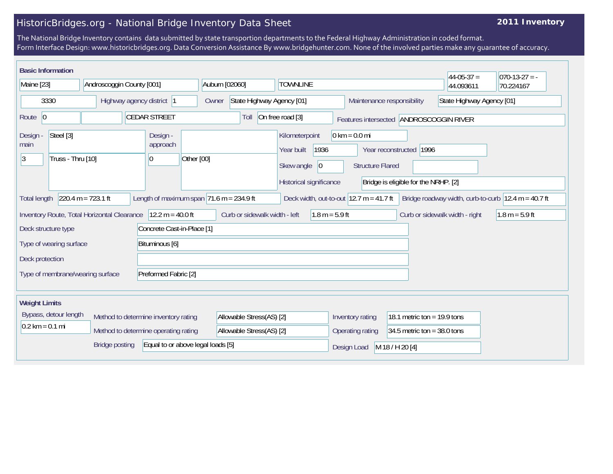## HistoricBridges.org - National Bridge Inventory Data Sheet

## **2011 Inventory**

The National Bridge Inventory contains data submitted by state transportion departments to the Federal Highway Administration in coded format. Form Interface Design: www.historicbridges.org. Data Conversion Assistance By www.bridgehunter.com. None of the involved parties make any guarantee of accuracy.

| <b>Basic Information</b><br>Maine [23]                          |  | Androscoggin County [001] |                                      |                                            |            | Auburn [02060]                                                      |                  |                                                    | <b>TOWNLINE</b>                                                                       |                                                           |                               | $44-05-37=$                   |                           | $ 070-13-27 = -$ |                                                     |
|-----------------------------------------------------------------|--|---------------------------|--------------------------------------|--------------------------------------------|------------|---------------------------------------------------------------------|------------------|----------------------------------------------------|---------------------------------------------------------------------------------------|-----------------------------------------------------------|-------------------------------|-------------------------------|---------------------------|------------------|-----------------------------------------------------|
|                                                                 |  |                           |                                      |                                            |            |                                                                     |                  |                                                    |                                                                                       |                                                           |                               |                               | 44.093611                 |                  | 70.224167                                           |
| 3330                                                            |  | Highway agency district 1 |                                      |                                            |            | State Highway Agency [01]<br>Owner                                  |                  |                                                    |                                                                                       |                                                           |                               | Maintenance responsibility    | State Highway Agency [01] |                  |                                                     |
| Route 0                                                         |  |                           |                                      | <b>CEDAR STREET</b>                        |            | On free road [3]<br>Toll<br>Features intersected ANDROSCOGGIN RIVER |                  |                                                    |                                                                                       |                                                           |                               |                               |                           |                  |                                                     |
| Steel [3]<br>Design -<br>main<br> 3 <br>Truss - Thru [10]       |  |                           | Design -<br>approach<br> 0           |                                            | Other [00] | Kilometerpoint<br>Year built<br>Skew angle                          |                  | 1936<br> 0                                         | $0 \text{ km} = 0.0 \text{ mi}$<br>Year reconstructed 1996<br><b>Structure Flared</b> |                                                           |                               |                               |                           |                  |                                                     |
| Historical significance<br>Bridge is eligible for the NRHP. [2] |  |                           |                                      |                                            |            |                                                                     |                  |                                                    |                                                                                       |                                                           |                               |                               |                           |                  |                                                     |
| <b>Total length</b>                                             |  | $220.4 m = 723.1 ft$      |                                      | Length of maximum span $71.6$ m = 234.9 ft |            |                                                                     |                  |                                                    |                                                                                       | Deck width, out-to-out $12.7 \text{ m} = 41.7 \text{ ft}$ |                               |                               |                           |                  | Bridge roadway width, curb-to-curb 12.4 m = 40.7 ft |
| Inventory Route, Total Horizontal Clearance                     |  |                           | $12.2 m = 40.0 ft$                   | Curb or sidewalk width - left              |            |                                                                     | $1.8 m = 5.9 ft$ | $1.8 m = 5.9 ft$<br>Curb or sidewalk width - right |                                                                                       |                                                           |                               |                               |                           |                  |                                                     |
| Deck structure type                                             |  |                           |                                      | Concrete Cast-in-Place [1]                 |            |                                                                     |                  |                                                    |                                                                                       |                                                           |                               |                               |                           |                  |                                                     |
| Type of wearing surface                                         |  |                           |                                      | Bituminous [6]                             |            |                                                                     |                  |                                                    |                                                                                       |                                                           |                               |                               |                           |                  |                                                     |
| Deck protection                                                 |  |                           |                                      |                                            |            |                                                                     |                  |                                                    |                                                                                       |                                                           |                               |                               |                           |                  |                                                     |
| Preformed Fabric [2]<br>Type of membrane/wearing surface        |  |                           |                                      |                                            |            |                                                                     |                  |                                                    |                                                                                       |                                                           |                               |                               |                           |                  |                                                     |
| <b>Weight Limits</b>                                            |  |                           |                                      |                                            |            |                                                                     |                  |                                                    |                                                                                       |                                                           |                               |                               |                           |                  |                                                     |
| Bypass, detour length                                           |  |                           | Method to determine inventory rating |                                            |            | Allowable Stress(AS) [2]                                            |                  |                                                    |                                                                                       | Inventory rating                                          |                               | 18.1 metric ton = $19.9$ tons |                           |                  |                                                     |
| $0.2 \text{ km} = 0.1 \text{ mi}$                               |  |                           | Method to determine operating rating |                                            |            | Allowable Stress(AS) [2]                                            |                  |                                                    |                                                                                       | Operating rating                                          | 34.5 metric ton = $38.0$ tons |                               |                           |                  |                                                     |
| Equal to or above legal loads [5]<br><b>Bridge posting</b>      |  |                           |                                      |                                            |            |                                                                     |                  | M 18 / H 20 [4]<br>Design Load                     |                                                                                       |                                                           |                               |                               |                           |                  |                                                     |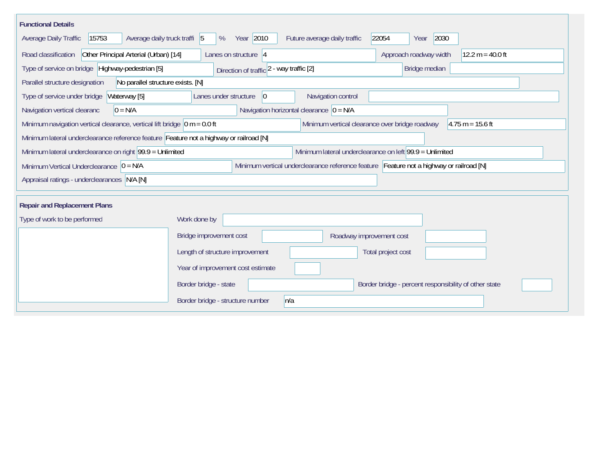| <b>Functional Details</b>                                                                                                                                |                                                                                |                                             |                       |  |  |  |  |  |  |
|----------------------------------------------------------------------------------------------------------------------------------------------------------|--------------------------------------------------------------------------------|---------------------------------------------|-----------------------|--|--|--|--|--|--|
| 15753<br>Average daily truck traffi 5<br>Average Daily Traffic                                                                                           | Year 2010<br>%                                                                 | Future average daily traffic                | 2030<br>22054<br>Year |  |  |  |  |  |  |
| Other Principal Arterial (Urban) [14]<br>Road classification                                                                                             | Approach roadway width<br>12.2 m = 40.0 ft                                     |                                             |                       |  |  |  |  |  |  |
| Type of service on bridge Highway-pedestrian [5]                                                                                                         |                                                                                |                                             |                       |  |  |  |  |  |  |
| No parallel structure exists. [N]<br>Parallel structure designation                                                                                      |                                                                                |                                             |                       |  |  |  |  |  |  |
| Type of service under bridge<br>Waterway [5]                                                                                                             | 0 <br>Lanes under structure                                                    | Navigation control                          |                       |  |  |  |  |  |  |
| $0 = N/A$<br>Navigation vertical clearanc                                                                                                                |                                                                                | Navigation horizontal clearance $ 0 = N/A $ |                       |  |  |  |  |  |  |
| Minimum navigation vertical clearance, vertical lift bridge $\vert$ 0 m = 0.0 ft<br>Minimum vertical clearance over bridge roadway<br>$4.75 m = 15.6 ft$ |                                                                                |                                             |                       |  |  |  |  |  |  |
| Minimum lateral underclearance reference feature Feature not a highway or railroad [N]                                                                   |                                                                                |                                             |                       |  |  |  |  |  |  |
| Minimum lateral underclearance on left 99.9 = Unlimited<br>Minimum lateral underclearance on right 99.9 = Unlimited                                      |                                                                                |                                             |                       |  |  |  |  |  |  |
| Minimum vertical underclearance reference feature Feature not a highway or railroad [N]<br>Minimum Vertical Underclearance $ 0 = N/A $                   |                                                                                |                                             |                       |  |  |  |  |  |  |
| Appraisal ratings - underclearances N/A [N]                                                                                                              |                                                                                |                                             |                       |  |  |  |  |  |  |
| <b>Repair and Replacement Plans</b>                                                                                                                      |                                                                                |                                             |                       |  |  |  |  |  |  |
|                                                                                                                                                          |                                                                                |                                             |                       |  |  |  |  |  |  |
| Type of work to be performed                                                                                                                             | Work done by                                                                   |                                             |                       |  |  |  |  |  |  |
|                                                                                                                                                          | Bridge improvement cost<br>Roadway improvement cost                            |                                             |                       |  |  |  |  |  |  |
|                                                                                                                                                          | Length of structure improvement                                                |                                             | Total project cost    |  |  |  |  |  |  |
|                                                                                                                                                          | Year of improvement cost estimate                                              |                                             |                       |  |  |  |  |  |  |
|                                                                                                                                                          | Border bridge - state<br>Border bridge - percent responsibility of other state |                                             |                       |  |  |  |  |  |  |
|                                                                                                                                                          | n/a<br>Border bridge - structure number                                        |                                             |                       |  |  |  |  |  |  |